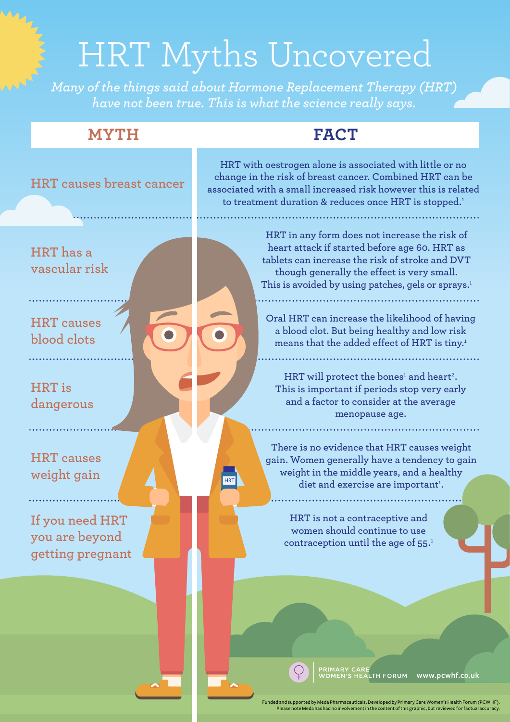## HRT Myths Uncovered

*Many of the things said about Hormone Replacement Therapy (HRT) have not been true. This is what the science really says.*

## **MYTH FACT**



ed and supported by Meda Pharmaceuticals. Developed by Primary Care Women's Health Forum (PCWHF). Please note Meda has had no involvement in the content of this graphic, but reviewed for factual accuracy.